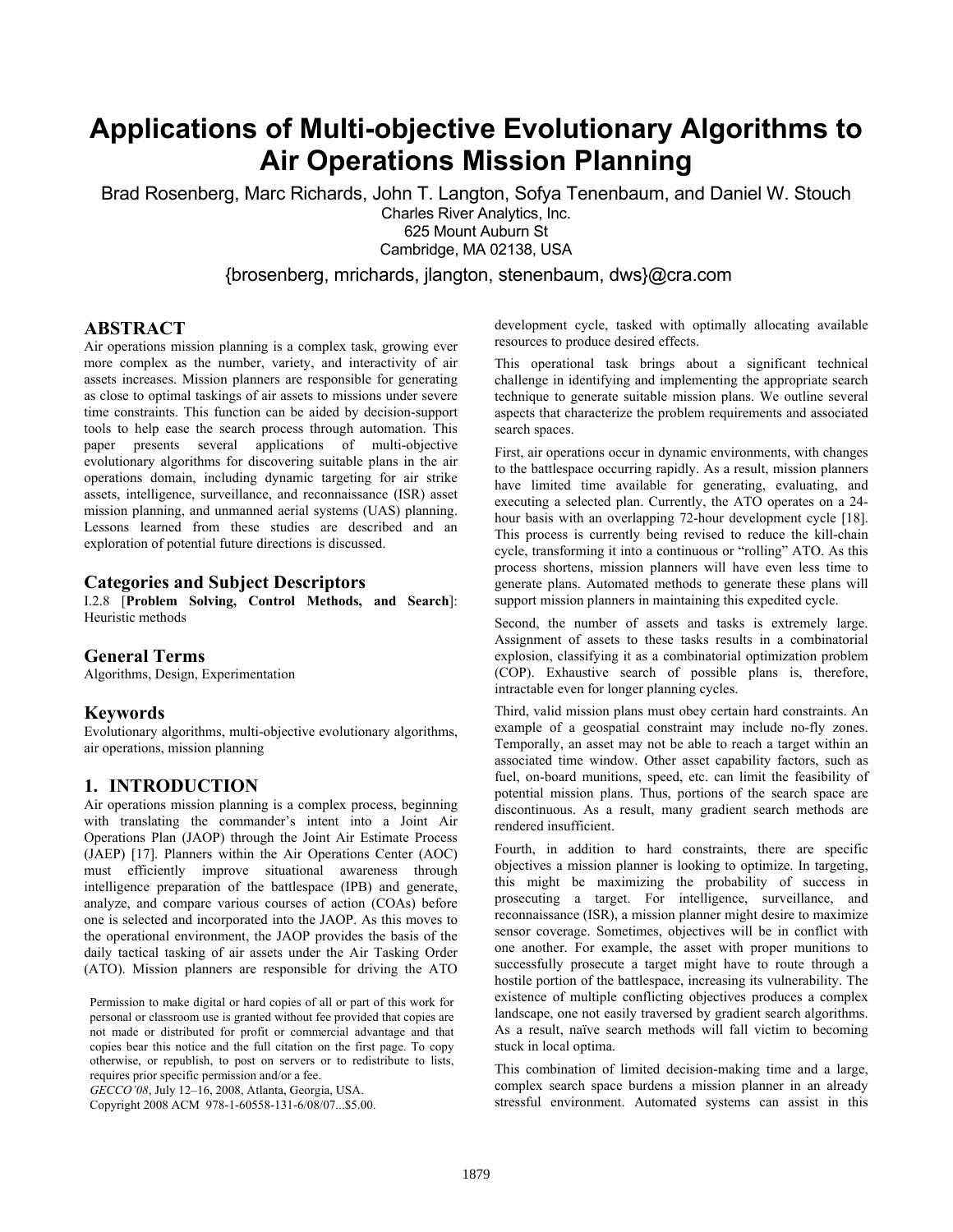# **Applications of Multi-objective Evolutionary Algorithms to Air Operations Mission Planning**

Brad Rosenberg, Marc Richards, John T. Langton, Sofya Tenenbaum, and Daniel W. Stouch Charles River Analytics, Inc. 625 Mount Auburn St Cambridge, MA 02138, USA

{brosenberg, mrichards, jlangton, stenenbaum, dws}@cra.com

#### **ABSTRACT**

Air operations mission planning is a complex task, growing ever more complex as the number, variety, and interactivity of air assets increases. Mission planners are responsible for generating as close to optimal taskings of air assets to missions under severe time constraints. This function can be aided by decision-support tools to help ease the search process through automation. This paper presents several applications of multi-objective evolutionary algorithms for discovering suitable plans in the air operations domain, including dynamic targeting for air strike assets, intelligence, surveillance, and reconnaissance (ISR) asset mission planning, and unmanned aerial systems (UAS) planning. Lessons learned from these studies are described and an exploration of potential future directions is discussed.

#### **Categories and Subject Descriptors**

I.2.8 [**Problem Solving, Control Methods, and Search**]: Heuristic methods

#### **General Terms**

Algorithms, Design, Experimentation

#### **Keywords**

Evolutionary algorithms, multi-objective evolutionary algorithms, air operations, mission planning

### **1. INTRODUCTION**

Air operations mission planning is a complex process, beginning with translating the commander's intent into a Joint Air Operations Plan (JAOP) through the Joint Air Estimate Process (JAEP) [17]. Planners within the Air Operations Center (AOC) must efficiently improve situational awareness through intelligence preparation of the battlespace (IPB) and generate, analyze, and compare various courses of action (COAs) before one is selected and incorporated into the JAOP. As this moves to the operational environment, the JAOP provides the basis of the daily tactical tasking of air assets under the Air Tasking Order (ATO). Mission planners are responsible for driving the ATO

Permission to make digital or hard copies of all or part of this work for personal or classroom use is granted without fee provided that copies are not made or distributed for profit or commercial advantage and that copies bear this notice and the full citation on the first page. To copy otherwise, or republish, to post on servers or to redistribute to lists, requires prior specific permission and/or a fee.

*GECCO'08*, July 12–16, 2008, Atlanta, Georgia, USA.

Copyright 2008 ACM 978-1-60558-131-6/08/07...\$5.00.

development cycle, tasked with optimally allocating available resources to produce desired effects.

This operational task brings about a significant technical challenge in identifying and implementing the appropriate search technique to generate suitable mission plans. We outline several aspects that characterize the problem requirements and associated search spaces.

First, air operations occur in dynamic environments, with changes to the battlespace occurring rapidly. As a result, mission planners have limited time available for generating, evaluating, and executing a selected plan. Currently, the ATO operates on a 24 hour basis with an overlapping 72-hour development cycle [18]. This process is currently being revised to reduce the kill-chain cycle, transforming it into a continuous or "rolling" ATO. As this process shortens, mission planners will have even less time to generate plans. Automated methods to generate these plans will support mission planners in maintaining this expedited cycle.

Second, the number of assets and tasks is extremely large. Assignment of assets to these tasks results in a combinatorial explosion, classifying it as a combinatorial optimization problem (COP). Exhaustive search of possible plans is, therefore, intractable even for longer planning cycles.

Third, valid mission plans must obey certain hard constraints. An example of a geospatial constraint may include no-fly zones. Temporally, an asset may not be able to reach a target within an associated time window. Other asset capability factors, such as fuel, on-board munitions, speed, etc. can limit the feasibility of potential mission plans. Thus, portions of the search space are discontinuous. As a result, many gradient search methods are rendered insufficient.

Fourth, in addition to hard constraints, there are specific objectives a mission planner is looking to optimize. In targeting, this might be maximizing the probability of success in prosecuting a target. For intelligence, surveillance, and reconnaissance (ISR), a mission planner might desire to maximize sensor coverage. Sometimes, objectives will be in conflict with one another. For example, the asset with proper munitions to successfully prosecute a target might have to route through a hostile portion of the battlespace, increasing its vulnerability. The existence of multiple conflicting objectives produces a complex landscape, one not easily traversed by gradient search algorithms. As a result, naïve search methods will fall victim to becoming stuck in local optima.

This combination of limited decision-making time and a large, complex search space burdens a mission planner in an already stressful environment. Automated systems can assist in this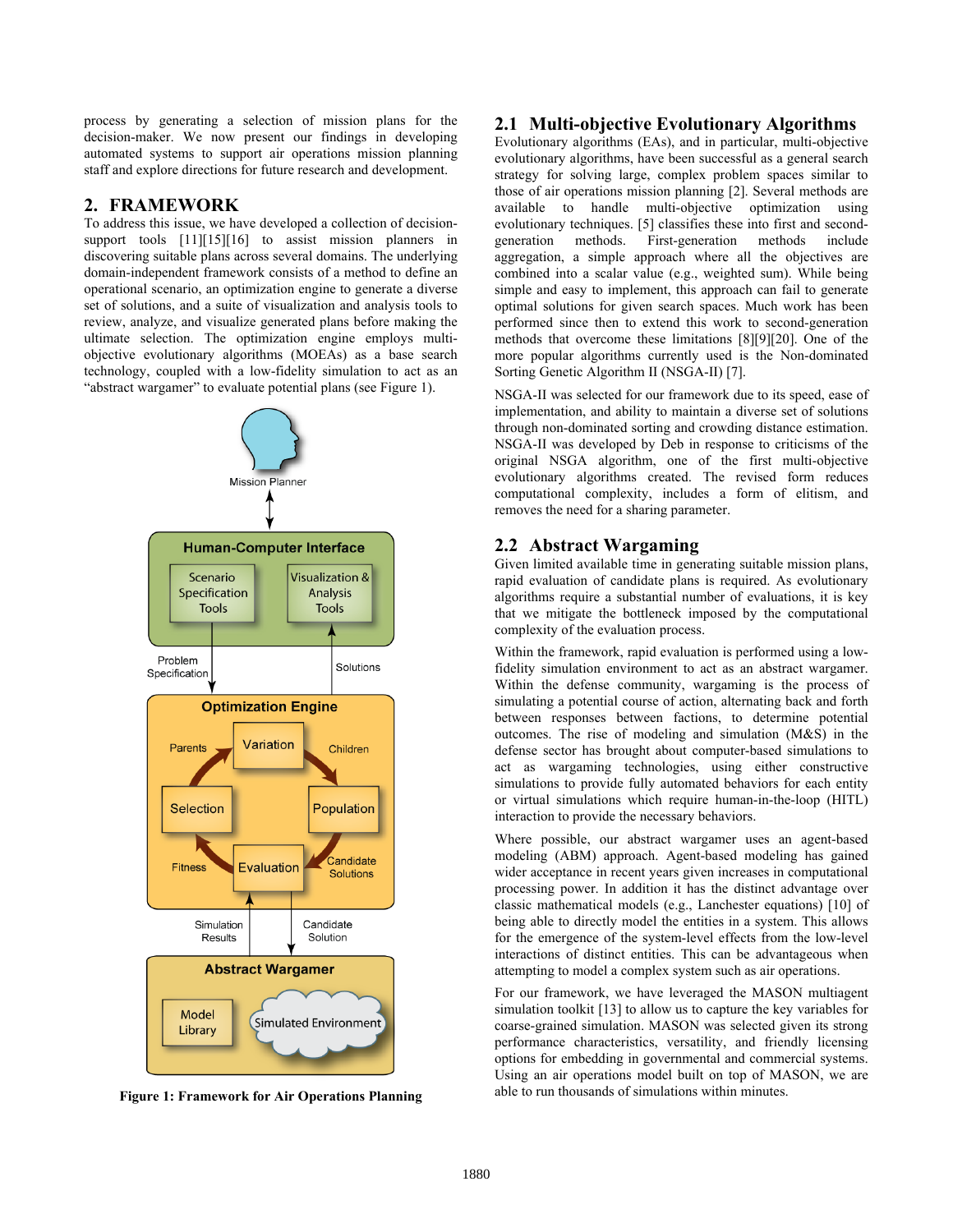process by generating a selection of mission plans for the decision-maker. We now present our findings in developing automated systems to support air operations mission planning staff and explore directions for future research and development.

#### **2. FRAMEWORK**

To address this issue, we have developed a collection of decisionsupport tools [11][15][16] to assist mission planners in discovering suitable plans across several domains. The underlying domain-independent framework consists of a method to define an operational scenario, an optimization engine to generate a diverse set of solutions, and a suite of visualization and analysis tools to review, analyze, and visualize generated plans before making the ultimate selection. The optimization engine employs multiobjective evolutionary algorithms (MOEAs) as a base search technology, coupled with a low-fidelity simulation to act as an "abstract wargamer" to evaluate potential plans (see Figure 1).



**Figure 1: Framework for Air Operations Planning**

#### **2.1 Multi-objective Evolutionary Algorithms**

Evolutionary algorithms (EAs), and in particular, multi-objective evolutionary algorithms, have been successful as a general search strategy for solving large, complex problem spaces similar to those of air operations mission planning [2]. Several methods are available to handle multi-objective optimization using evolutionary techniques. [5] classifies these into first and second-<br>generation methods. First-generation methods include generation methods. First-generation methods aggregation, a simple approach where all the objectives are combined into a scalar value (e.g., weighted sum). While being simple and easy to implement, this approach can fail to generate optimal solutions for given search spaces. Much work has been performed since then to extend this work to second-generation methods that overcome these limitations [8][9][20]. One of the more popular algorithms currently used is the Non-dominated Sorting Genetic Algorithm II (NSGA-II) [7].

NSGA-II was selected for our framework due to its speed, ease of implementation, and ability to maintain a diverse set of solutions through non-dominated sorting and crowding distance estimation. NSGA-II was developed by Deb in response to criticisms of the original NSGA algorithm, one of the first multi-objective evolutionary algorithms created. The revised form reduces computational complexity, includes a form of elitism, and removes the need for a sharing parameter.

#### **2.2 Abstract Wargaming**

Given limited available time in generating suitable mission plans, rapid evaluation of candidate plans is required. As evolutionary algorithms require a substantial number of evaluations, it is key that we mitigate the bottleneck imposed by the computational complexity of the evaluation process.

Within the framework, rapid evaluation is performed using a lowfidelity simulation environment to act as an abstract wargamer. Within the defense community, wargaming is the process of simulating a potential course of action, alternating back and forth between responses between factions, to determine potential outcomes. The rise of modeling and simulation (M&S) in the defense sector has brought about computer-based simulations to act as wargaming technologies, using either constructive simulations to provide fully automated behaviors for each entity or virtual simulations which require human-in-the-loop (HITL) interaction to provide the necessary behaviors.

Where possible, our abstract wargamer uses an agent-based modeling (ABM) approach. Agent-based modeling has gained wider acceptance in recent years given increases in computational processing power. In addition it has the distinct advantage over classic mathematical models (e.g., Lanchester equations) [10] of being able to directly model the entities in a system. This allows for the emergence of the system-level effects from the low-level interactions of distinct entities. This can be advantageous when attempting to model a complex system such as air operations.

For our framework, we have leveraged the MASON multiagent simulation toolkit [13] to allow us to capture the key variables for coarse-grained simulation. MASON was selected given its strong performance characteristics, versatility, and friendly licensing options for embedding in governmental and commercial systems. Using an air operations model built on top of MASON, we are able to run thousands of simulations within minutes.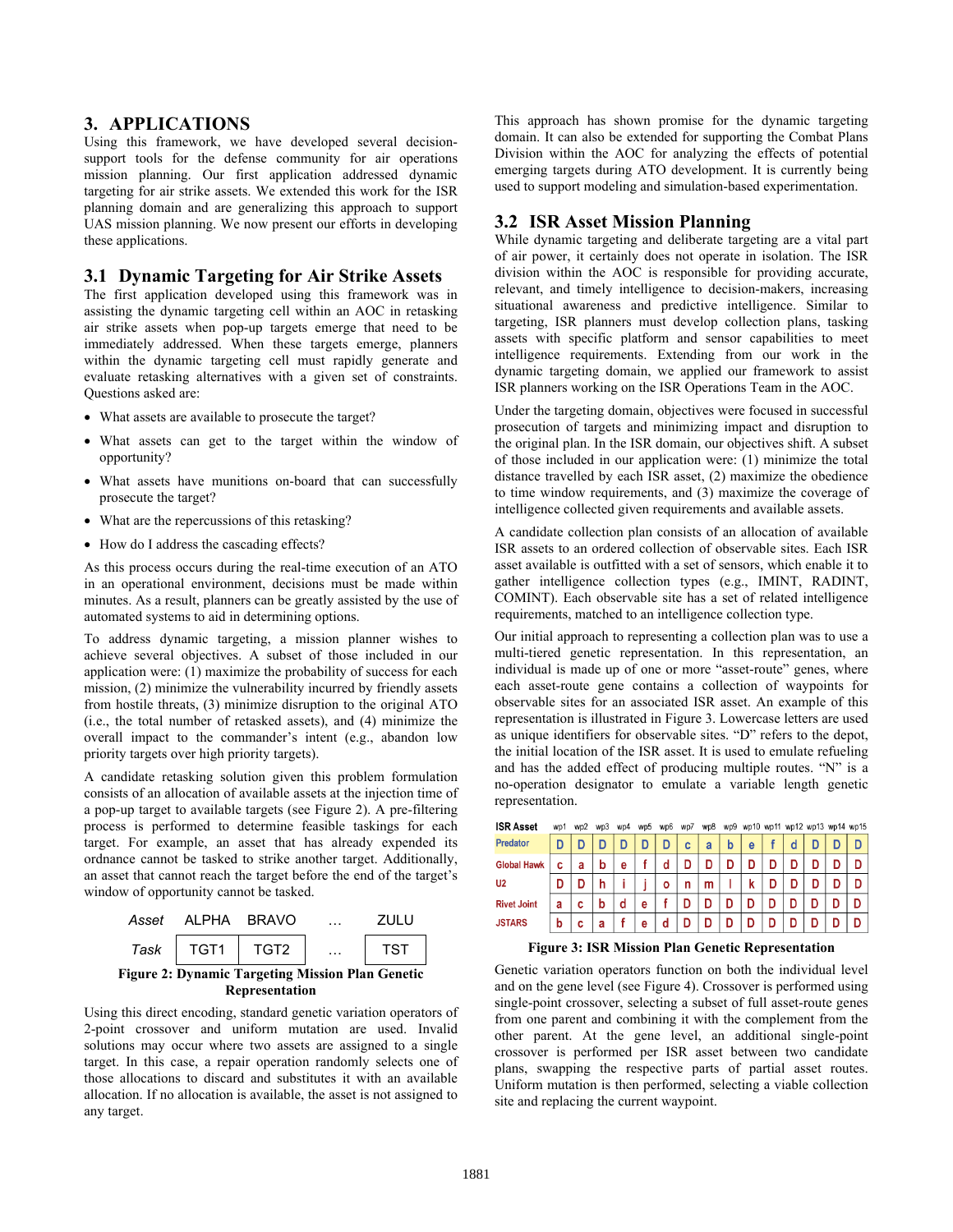#### **3. APPLICATIONS**

Using this framework, we have developed several decisionsupport tools for the defense community for air operations mission planning. Our first application addressed dynamic targeting for air strike assets. We extended this work for the ISR planning domain and are generalizing this approach to support UAS mission planning. We now present our efforts in developing these applications.

#### **3.1 Dynamic Targeting for Air Strike Assets**

The first application developed using this framework was in assisting the dynamic targeting cell within an AOC in retasking air strike assets when pop-up targets emerge that need to be immediately addressed. When these targets emerge, planners within the dynamic targeting cell must rapidly generate and evaluate retasking alternatives with a given set of constraints. Questions asked are:

- What assets are available to prosecute the target?
- What assets can get to the target within the window of opportunity?
- What assets have munitions on-board that can successfully prosecute the target?
- What are the repercussions of this retasking?
- How do I address the cascading effects?

As this process occurs during the real-time execution of an ATO in an operational environment, decisions must be made within minutes. As a result, planners can be greatly assisted by the use of automated systems to aid in determining options.

To address dynamic targeting, a mission planner wishes to achieve several objectives. A subset of those included in our application were: (1) maximize the probability of success for each mission, (2) minimize the vulnerability incurred by friendly assets from hostile threats, (3) minimize disruption to the original ATO (i.e., the total number of retasked assets), and (4) minimize the overall impact to the commander's intent (e.g., abandon low priority targets over high priority targets).

A candidate retasking solution given this problem formulation consists of an allocation of available assets at the injection time of a pop-up target to available targets (see Figure 2). A pre-filtering process is performed to determine feasible taskings for each target. For example, an asset that has already expended its ordnance cannot be tasked to strike another target. Additionally, an asset that cannot reach the target before the end of the target's window of opportunity cannot be tasked.



Using this direct encoding, standard genetic variation operators of 2-point crossover and uniform mutation are used. Invalid solutions may occur where two assets are assigned to a single target. In this case, a repair operation randomly selects one of those allocations to discard and substitutes it with an available allocation. If no allocation is available, the asset is not assigned to any target.

This approach has shown promise for the dynamic targeting domain. It can also be extended for supporting the Combat Plans Division within the AOC for analyzing the effects of potential emerging targets during ATO development. It is currently being used to support modeling and simulation-based experimentation.

#### **3.2 ISR Asset Mission Planning**

While dynamic targeting and deliberate targeting are a vital part of air power, it certainly does not operate in isolation. The ISR division within the AOC is responsible for providing accurate, relevant, and timely intelligence to decision-makers, increasing situational awareness and predictive intelligence. Similar to targeting, ISR planners must develop collection plans, tasking assets with specific platform and sensor capabilities to meet intelligence requirements. Extending from our work in the dynamic targeting domain, we applied our framework to assist ISR planners working on the ISR Operations Team in the AOC.

Under the targeting domain, objectives were focused in successful prosecution of targets and minimizing impact and disruption to the original plan. In the ISR domain, our objectives shift. A subset of those included in our application were: (1) minimize the total distance travelled by each ISR asset, (2) maximize the obedience to time window requirements, and (3) maximize the coverage of intelligence collected given requirements and available assets.

A candidate collection plan consists of an allocation of available ISR assets to an ordered collection of observable sites. Each ISR asset available is outfitted with a set of sensors, which enable it to gather intelligence collection types (e.g., IMINT, RADINT, COMINT). Each observable site has a set of related intelligence requirements, matched to an intelligence collection type.

Our initial approach to representing a collection plan was to use a multi-tiered genetic representation. In this representation, an individual is made up of one or more "asset-route" genes, where each asset-route gene contains a collection of waypoints for observable sites for an associated ISR asset. An example of this representation is illustrated in Figure 3. Lowercase letters are used as unique identifiers for observable sites. "D" refers to the depot, the initial location of the ISR asset. It is used to emulate refueling and has the added effect of producing multiple routes. "N" is a no-operation designator to emulate a variable length genetic representation.

| <b>ISR Asset</b>   | wp1 | wp2 | wp3 | wp4 | wp <sub>5</sub> | wp6 | wp7 | wp8 | wp9 |   |   |   |   | wp10 wp11 wp12 wp13 wp14 wp15 |
|--------------------|-----|-----|-----|-----|-----------------|-----|-----|-----|-----|---|---|---|---|-------------------------------|
| <b>Predator</b>    | D   |     |     |     | D               | D   | C   | a   | b   | e |   | d |   |                               |
| <b>Global Hawk</b> | C   | а   | b   | е   |                 | d   | D   |     |     |   |   |   | D |                               |
| U <sub>2</sub>     | D   |     | h   |     |                 | ٥   | n   | m   |     | ĸ |   | D | D |                               |
| <b>Rivet Joint</b> | а   | c   | b   | d   | е               |     | D   | D   |     | D | D | D | D | D                             |
| <b>JSTARS</b>      | b   | c   | а   |     | е               | d   |     | D   |     |   |   |   |   | D                             |

**Figure 3: ISR Mission Plan Genetic Representation** 

Genetic variation operators function on both the individual level and on the gene level (see [Figure 4](#page-3-0)). Crossover is performed using single-point crossover, selecting a subset of full asset-route genes from one parent and combining it with the complement from the other parent. At the gene level, an additional single-point crossover is performed per ISR asset between two candidate plans, swapping the respective parts of partial asset routes. Uniform mutation is then performed, selecting a viable collection site and replacing the current waypoint.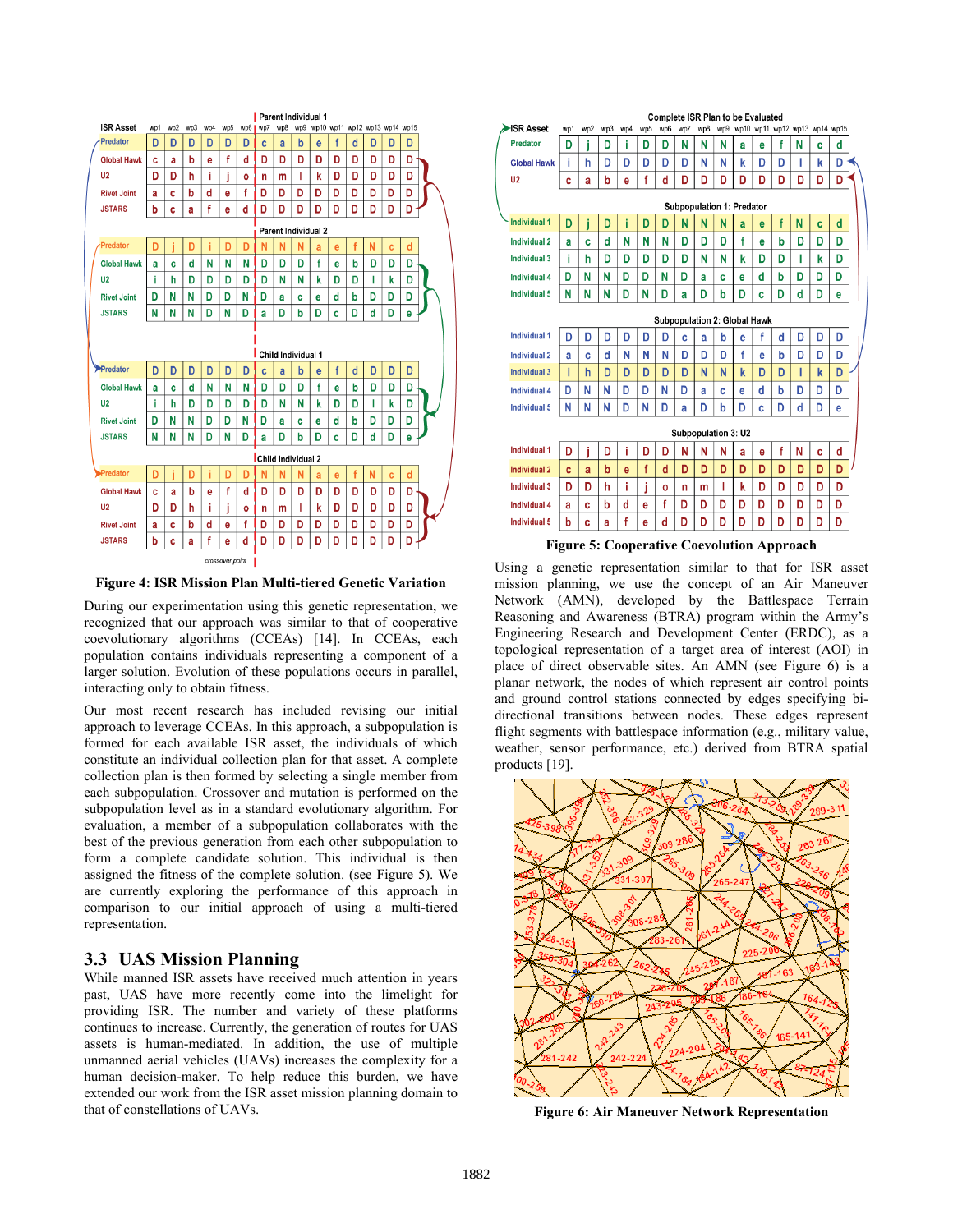

<span id="page-3-1"></span>**Figure 4: ISR Mission Plan Multi-tiered Genetic Variation** 

<span id="page-3-0"></span>During our experimentation using this genetic representation, we recognized that our approach was similar to that of cooperative coevolutionary algorithms (CCEAs) [14]. In CCEAs, each population contains individuals representing a component of a larger solution. Evolution of these populations occurs in parallel, interacting only to obtain fitness.

Our most recent research has included revising our initial approach to leverage CCEAs. In this approach, a subpopulation is formed for each available ISR asset, the individuals of which constitute an individual collection plan for that asset. A complete collection plan is then formed by selecting a single member from each subpopulation. Crossover and mutation is performed on the subpopulation level as in a standard evolutionary algorithm. For evaluation, a member of a subpopulation collaborates with the best of the previous generation from each other subpopulation to form a complete candidate solution. This individual is then assigned the fitness of the complete solution. (see [Figure 5](#page-3-1)). We are currently exploring the performance of this approach in comparison to our initial approach of using a multi-tiered representation.

#### **3.3 UAS Mission Planning**

<span id="page-3-2"></span>While manned ISR assets have received much attention in years past, UAS have more recently come into the limelight for providing ISR. The number and variety of these platforms continues to increase. Currently, the generation of routes for UAS assets is human-mediated. In addition, the use of multiple unmanned aerial vehicles (UAVs) increases the complexity for a human decision-maker. To help reduce this burden, we have extended our work from the ISR asset mission planning domain to that of constellations of UAVs.

|                                     | <b>Complete ISR Plan to be Evaluated</b><br>wp10 wp11 wp12 wp13 wp14 wp15 |     |     |     |     |     |     |                     |     |   |   |   |   |   |   |  |
|-------------------------------------|---------------------------------------------------------------------------|-----|-----|-----|-----|-----|-----|---------------------|-----|---|---|---|---|---|---|--|
| SR Asset                            | wp1                                                                       | wp2 | wp3 | wp4 | wp5 | wp6 | wp7 | wp8                 | wp9 |   |   |   |   |   |   |  |
| Predator                            | D                                                                         | i   | D   | i   | D   | D   | N   | N                   | Ν   | a | e | f | Ν | c | d |  |
| <b>Global Hawk</b>                  | i                                                                         | h   | D   | D   | D   | D   | D   | N                   | N   | k | D | D | I | k | D |  |
| U <sub>2</sub>                      | C                                                                         | a   | b   | e   | f   | d   | D   | D                   | D   | D | D | D | D | D | D |  |
|                                     | Subpopulation 1: Predator                                                 |     |     |     |     |     |     |                     |     |   |   |   |   |   |   |  |
| <b>Individual 1</b>                 | D                                                                         | i   | D   | i   | D   | D   | N   | N                   | N   | a | e | f | N | C | d |  |
| <b>Individual 2</b>                 | a                                                                         | C   | d   | N   | N   | N   | D   | D                   | D   | f | e | b | D | D | D |  |
| Individual 3                        | i                                                                         | h   | D   | D   | D   | D   | D   | N                   | N   | k | D | D | I | k | D |  |
| Individual 4                        | D                                                                         | N   | Ν   | D   | D   | Ν   | D   | a                   | Ċ   | e | d | b | D | D | D |  |
| <b>Individual 5</b>                 | N                                                                         | N   | N   | D   | N   | D   | a   | D                   | b   | D | C | D | d | D | е |  |
| <b>Subpopulation 2: Global Hawk</b> |                                                                           |     |     |     |     |     |     |                     |     |   |   |   |   |   |   |  |
| <b>Individual 1</b>                 | D                                                                         | D   | D   | D   | D   | D   | C   | a                   | b   | e | f | d | D | D | D |  |
| <b>Individual 2</b>                 | a                                                                         | Ċ   | d   | N   | N   | N   | D   | D                   | D   | f | e | b | D | D | D |  |
| <b>Individual 3</b>                 | ì                                                                         | h   | D   | D   | D   | D   | D   | N                   | N   | k | D | D | ı | k | D |  |
| Individual 4                        | D                                                                         | N   | N   | D   | D   | N   | D   | a                   | Ć   | e | d | b | D | D | D |  |
| <b>Individual 5</b>                 | N                                                                         | N   | N   | D   | N   | D   | a   | D                   | b   | D | Ċ | D | d | D | е |  |
|                                     |                                                                           |     |     |     |     |     |     | Subpopulation 3: U2 |     |   |   |   |   |   |   |  |
| <b>Individual 1</b>                 | D                                                                         | İ   | D   | i   | D   | D   | N   | N                   | N   | a | e | f | N | Ċ | d |  |
| <b>Individual 2</b>                 | Ċ                                                                         | a   | b   | e   | f   | d   | D   | D                   | D   | D | D | D | D | D | D |  |
| Individual 3                        | D                                                                         | D   | h   | i   | j   | Ō   | n   | m                   | ı   | k | D | D | D | D | D |  |
| Individual 4                        | a                                                                         | Ć   | b   | d   | e   | f   | D   | D                   | D   | D | D | D | D | D | D |  |
| <b>Individual 5</b>                 | b                                                                         | Ċ   | a   | f   | e   | d   | D   | D                   | D   | D | D | D | D | D | D |  |

**Figure 5: Cooperative Coevolution Approach** 

Using a genetic representation similar to that for ISR asset mission planning, we use the concept of an Air Maneuver Network (AMN), developed by the Battlespace Terrain Reasoning and Awareness (BTRA) program within the Army's Engineering Research and Development Center (ERDC), as a topological representation of a target area of interest (AOI) in place of direct observable sites. An AMN (see [Figure 6](#page-3-2)) is a planar network, the nodes of which represent air control points and ground control stations connected by edges specifying bidirectional transitions between nodes. These edges represent flight segments with battlespace information (e.g., military value, weather, sensor performance, etc.) derived from BTRA spatial products [19].



**Figure 6: Air Maneuver Network Representation**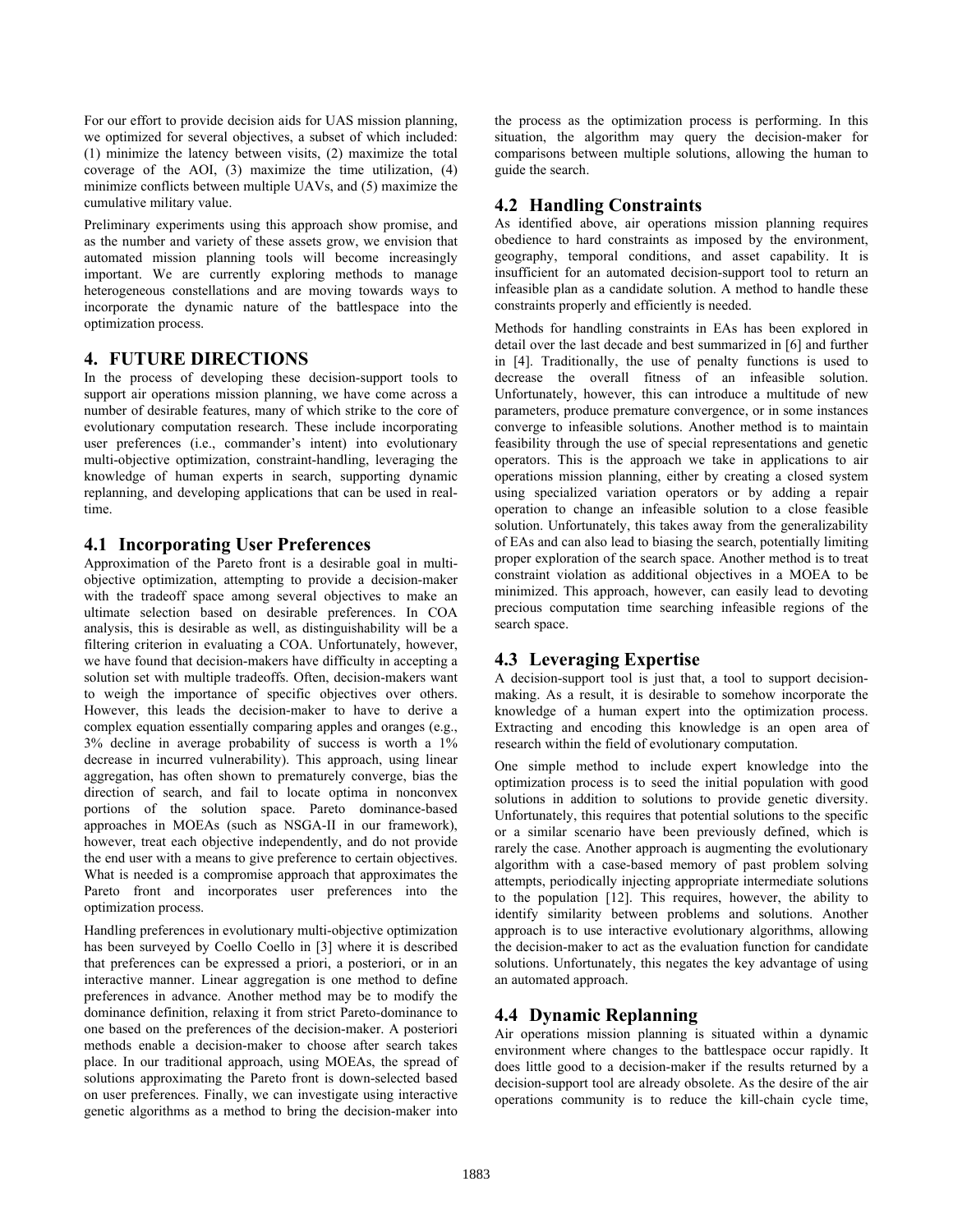For our effort to provide decision aids for UAS mission planning, we optimized for several objectives, a subset of which included: (1) minimize the latency between visits, (2) maximize the total coverage of the AOI, (3) maximize the time utilization, (4) minimize conflicts between multiple UAVs, and (5) maximize the cumulative military value.

Preliminary experiments using this approach show promise, and as the number and variety of these assets grow, we envision that automated mission planning tools will become increasingly important. We are currently exploring methods to manage heterogeneous constellations and are moving towards ways to incorporate the dynamic nature of the battlespace into the optimization process.

## **4. FUTURE DIRECTIONS**

In the process of developing these decision-support tools to support air operations mission planning, we have come across a number of desirable features, many of which strike to the core of evolutionary computation research. These include incorporating user preferences (i.e., commander's intent) into evolutionary multi-objective optimization, constraint-handling, leveraging the knowledge of human experts in search, supporting dynamic replanning, and developing applications that can be used in realtime.

## **4.1 Incorporating User Preferences**

Approximation of the Pareto front is a desirable goal in multiobjective optimization, attempting to provide a decision-maker with the tradeoff space among several objectives to make an ultimate selection based on desirable preferences. In COA analysis, this is desirable as well, as distinguishability will be a filtering criterion in evaluating a COA. Unfortunately, however, we have found that decision-makers have difficulty in accepting a solution set with multiple tradeoffs. Often, decision-makers want to weigh the importance of specific objectives over others. However, this leads the decision-maker to have to derive a complex equation essentially comparing apples and oranges (e.g., 3% decline in average probability of success is worth a 1% decrease in incurred vulnerability). This approach, using linear aggregation, has often shown to prematurely converge, bias the direction of search, and fail to locate optima in nonconvex portions of the solution space. Pareto dominance-based approaches in MOEAs (such as NSGA-II in our framework), however, treat each objective independently, and do not provide the end user with a means to give preference to certain objectives. What is needed is a compromise approach that approximates the Pareto front and incorporates user preferences into the optimization process.

Handling preferences in evolutionary multi-objective optimization has been surveyed by Coello Coello in [3] where it is described that preferences can be expressed a priori, a posteriori, or in an interactive manner. Linear aggregation is one method to define preferences in advance. Another method may be to modify the dominance definition, relaxing it from strict Pareto-dominance to one based on the preferences of the decision-maker. A posteriori methods enable a decision-maker to choose after search takes place. In our traditional approach, using MOEAs, the spread of solutions approximating the Pareto front is down-selected based on user preferences. Finally, we can investigate using interactive genetic algorithms as a method to bring the decision-maker into

the process as the optimization process is performing. In this situation, the algorithm may query the decision-maker for comparisons between multiple solutions, allowing the human to guide the search.

# **4.2 Handling Constraints**

As identified above, air operations mission planning requires obedience to hard constraints as imposed by the environment, geography, temporal conditions, and asset capability. It is insufficient for an automated decision-support tool to return an infeasible plan as a candidate solution. A method to handle these constraints properly and efficiently is needed.

Methods for handling constraints in EAs has been explored in detail over the last decade and best summarized in [6] and further in [4]. Traditionally, the use of penalty functions is used to decrease the overall fitness of an infeasible solution. Unfortunately, however, this can introduce a multitude of new parameters, produce premature convergence, or in some instances converge to infeasible solutions. Another method is to maintain feasibility through the use of special representations and genetic operators. This is the approach we take in applications to air operations mission planning, either by creating a closed system using specialized variation operators or by adding a repair operation to change an infeasible solution to a close feasible solution. Unfortunately, this takes away from the generalizability of EAs and can also lead to biasing the search, potentially limiting proper exploration of the search space. Another method is to treat constraint violation as additional objectives in a MOEA to be minimized. This approach, however, can easily lead to devoting precious computation time searching infeasible regions of the search space.

# **4.3 Leveraging Expertise**

A decision-support tool is just that, a tool to support decisionmaking. As a result, it is desirable to somehow incorporate the knowledge of a human expert into the optimization process. Extracting and encoding this knowledge is an open area of research within the field of evolutionary computation.

One simple method to include expert knowledge into the optimization process is to seed the initial population with good solutions in addition to solutions to provide genetic diversity. Unfortunately, this requires that potential solutions to the specific or a similar scenario have been previously defined, which is rarely the case. Another approach is augmenting the evolutionary algorithm with a case-based memory of past problem solving attempts, periodically injecting appropriate intermediate solutions to the population [12]. This requires, however, the ability to identify similarity between problems and solutions. Another approach is to use interactive evolutionary algorithms, allowing the decision-maker to act as the evaluation function for candidate solutions. Unfortunately, this negates the key advantage of using an automated approach.

# **4.4 Dynamic Replanning**

Air operations mission planning is situated within a dynamic environment where changes to the battlespace occur rapidly. It does little good to a decision-maker if the results returned by a decision-support tool are already obsolete. As the desire of the air operations community is to reduce the kill-chain cycle time,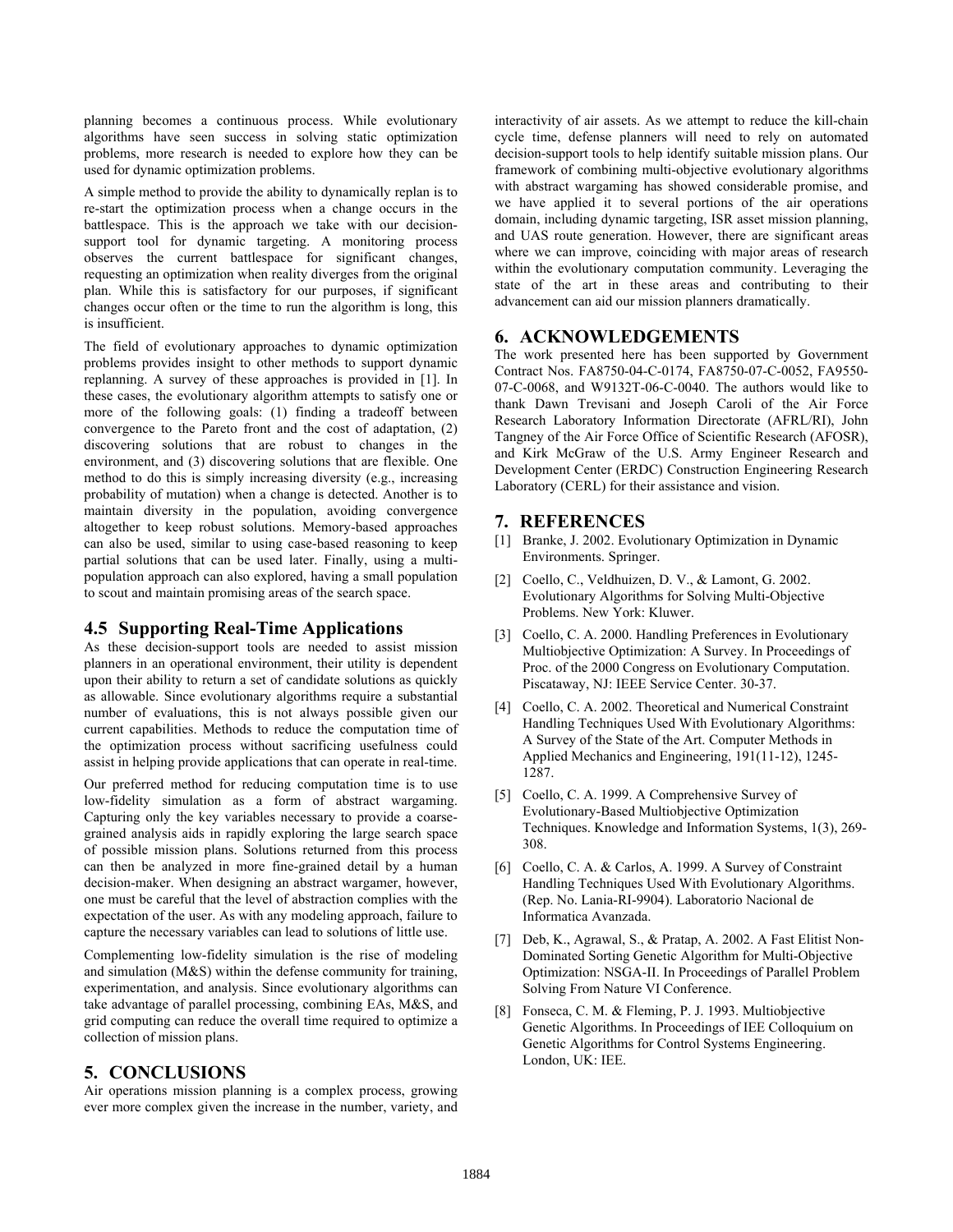planning becomes a continuous process. While evolutionary algorithms have seen success in solving static optimization problems, more research is needed to explore how they can be used for dynamic optimization problems.

A simple method to provide the ability to dynamically replan is to re-start the optimization process when a change occurs in the battlespace. This is the approach we take with our decisionsupport tool for dynamic targeting. A monitoring process observes the current battlespace for significant changes, requesting an optimization when reality diverges from the original plan. While this is satisfactory for our purposes, if significant changes occur often or the time to run the algorithm is long, this is insufficient.

The field of evolutionary approaches to dynamic optimization problems provides insight to other methods to support dynamic replanning. A survey of these approaches is provided in [1]. In these cases, the evolutionary algorithm attempts to satisfy one or more of the following goals: (1) finding a tradeoff between convergence to the Pareto front and the cost of adaptation, (2) discovering solutions that are robust to changes in the environment, and (3) discovering solutions that are flexible. One method to do this is simply increasing diversity (e.g., increasing probability of mutation) when a change is detected. Another is to maintain diversity in the population, avoiding convergence altogether to keep robust solutions. Memory-based approaches can also be used, similar to using case-based reasoning to keep partial solutions that can be used later. Finally, using a multipopulation approach can also explored, having a small population to scout and maintain promising areas of the search space.

## **4.5 Supporting Real-Time Applications**

As these decision-support tools are needed to assist mission planners in an operational environment, their utility is dependent upon their ability to return a set of candidate solutions as quickly as allowable. Since evolutionary algorithms require a substantial number of evaluations, this is not always possible given our current capabilities. Methods to reduce the computation time of the optimization process without sacrificing usefulness could assist in helping provide applications that can operate in real-time.

Our preferred method for reducing computation time is to use low-fidelity simulation as a form of abstract wargaming. Capturing only the key variables necessary to provide a coarsegrained analysis aids in rapidly exploring the large search space of possible mission plans. Solutions returned from this process can then be analyzed in more fine-grained detail by a human decision-maker. When designing an abstract wargamer, however, one must be careful that the level of abstraction complies with the expectation of the user. As with any modeling approach, failure to capture the necessary variables can lead to solutions of little use.

Complementing low-fidelity simulation is the rise of modeling and simulation (M&S) within the defense community for training, experimentation, and analysis. Since evolutionary algorithms can take advantage of parallel processing, combining EAs, M&S, and grid computing can reduce the overall time required to optimize a collection of mission plans.

## **5. CONCLUSIONS**

Air operations mission planning is a complex process, growing ever more complex given the increase in the number, variety, and interactivity of air assets. As we attempt to reduce the kill-chain cycle time, defense planners will need to rely on automated decision-support tools to help identify suitable mission plans. Our framework of combining multi-objective evolutionary algorithms with abstract wargaming has showed considerable promise, and we have applied it to several portions of the air operations domain, including dynamic targeting, ISR asset mission planning, and UAS route generation. However, there are significant areas where we can improve, coinciding with major areas of research within the evolutionary computation community. Leveraging the state of the art in these areas and contributing to their advancement can aid our mission planners dramatically.

#### **6. ACKNOWLEDGEMENTS**

The work presented here has been supported by Government Contract Nos. FA8750-04-C-0174, FA8750-07-C-0052, FA9550- 07-C-0068, and W9132T-06-C-0040. The authors would like to thank Dawn Trevisani and Joseph Caroli of the Air Force Research Laboratory Information Directorate (AFRL/RI), John Tangney of the Air Force Office of Scientific Research (AFOSR), and Kirk McGraw of the U.S. Army Engineer Research and Development Center (ERDC) Construction Engineering Research Laboratory (CERL) for their assistance and vision.

#### **7. REFERENCES**

- [1] Branke, J. 2002. Evolutionary Optimization in Dynamic Environments. Springer.
- [2] Coello, C., Veldhuizen, D. V., & Lamont, G. 2002. Evolutionary Algorithms for Solving Multi-Objective Problems. New York: Kluwer.
- [3] Coello, C. A. 2000. Handling Preferences in Evolutionary Multiobjective Optimization: A Survey. In Proceedings of Proc. of the 2000 Congress on Evolutionary Computation. Piscataway, NJ: IEEE Service Center. 30-37.
- [4] Coello, C. A. 2002. Theoretical and Numerical Constraint Handling Techniques Used With Evolutionary Algorithms: A Survey of the State of the Art. Computer Methods in Applied Mechanics and Engineering, 191(11-12), 1245- 1287.
- [5] Coello, C. A. 1999. A Comprehensive Survey of Evolutionary-Based Multiobjective Optimization Techniques. Knowledge and Information Systems, 1(3), 269- 308.
- [6] Coello, C. A. & Carlos, A. 1999. A Survey of Constraint Handling Techniques Used With Evolutionary Algorithms. (Rep. No. Lania-RI-9904). Laboratorio Nacional de Informatica Avanzada.
- [7] Deb, K., Agrawal, S., & Pratap, A. 2002. A Fast Elitist Non-Dominated Sorting Genetic Algorithm for Multi-Objective Optimization: NSGA-II. In Proceedings of Parallel Problem Solving From Nature VI Conference.
- [8] Fonseca, C. M. & Fleming, P. J. 1993. Multiobjective Genetic Algorithms. In Proceedings of IEE Colloquium on Genetic Algorithms for Control Systems Engineering. London, UK: IEE.